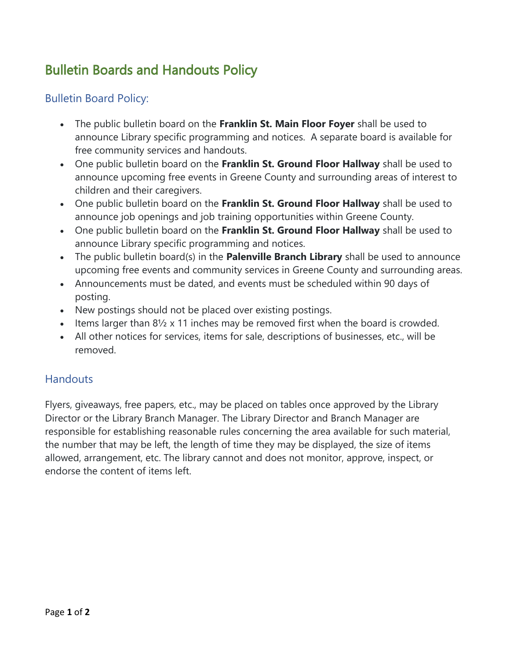## Bulletin Boards and Handouts Policy

## Bulletin Board Policy:

- The public bulletin board on the **Franklin St. Main Floor Foyer** shall be used to announce Library specific programming and notices. A separate board is available for free community services and handouts.
- One public bulletin board on the **Franklin St. Ground Floor Hallway** shall be used to announce upcoming free events in Greene County and surrounding areas of interest to children and their caregivers.
- One public bulletin board on the **Franklin St. Ground Floor Hallway** shall be used to announce job openings and job training opportunities within Greene County.
- One public bulletin board on the **Franklin St. Ground Floor Hallway** shall be used to announce Library specific programming and notices.
- The public bulletin board(s) in the **Palenville Branch Library** shall be used to announce upcoming free events and community services in Greene County and surrounding areas.
- Announcements must be dated, and events must be scheduled within 90 days of posting.
- New postings should not be placed over existing postings.
- Items larger than  $8\frac{1}{2}$  x 11 inches may be removed first when the board is crowded.
- All other notices for services, items for sale, descriptions of businesses, etc., will be removed.

## **Handouts**

Flyers, giveaways, free papers, etc., may be placed on tables once approved by the Library Director or the Library Branch Manager. The Library Director and Branch Manager are responsible for establishing reasonable rules concerning the area available for such material, the number that may be left, the length of time they may be displayed, the size of items allowed, arrangement, etc. The library cannot and does not monitor, approve, inspect, or endorse the content of items left.